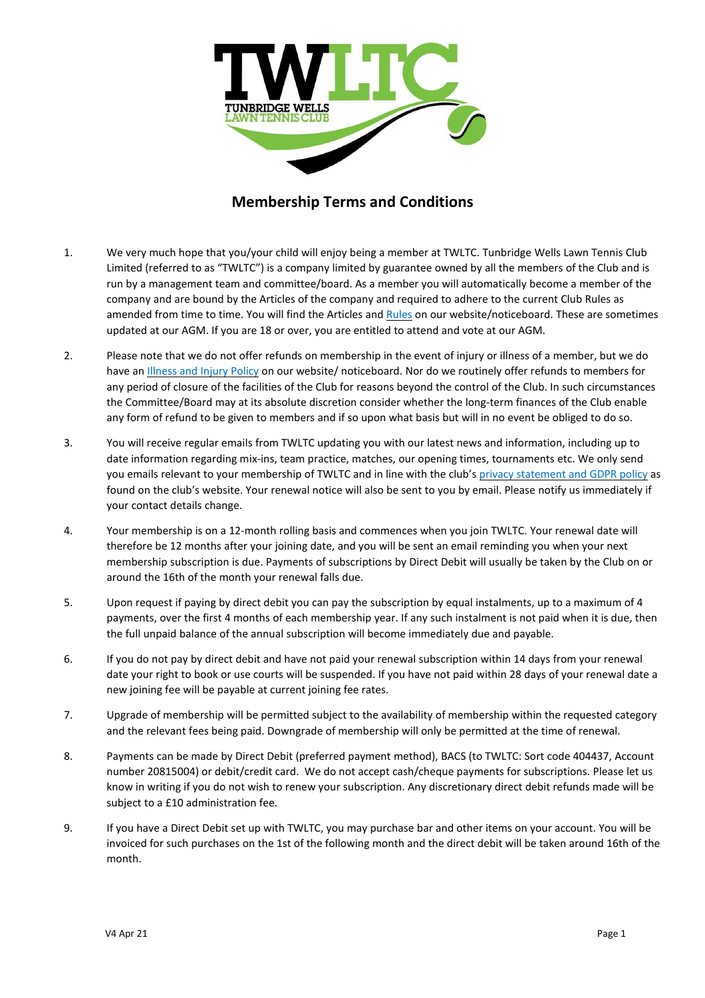

## **Membership Terms and Conditions**

- 1. We very much hope that you/your child will enjoy being a member at TWLTC. Tunbridge Wells Lawn Tennis Club Limited (referred to as "TWLTC") is a company limited by guarantee owned by all the members of the Club and is run by a management team and committee/board. As a member you will automatically become a member of the company and are bound by the Articles of the company and required to adhere to the current Club Rules as amended from time to time. You will find the Articles and **[Rules](https://www.twltc.org/wp-content/uploads/TWLTC-CLUB-RULES-2019.pdf)** on our website/noticeboard. These are sometimes updated at our AGM. If you are 18 or over, you are entitled to attend and vote at our AGM.
- 2. Please note that we do not offer refunds on membership in the event of injury or illness of a member, but we do have an [Illness](https://www.twltc.org/wp-content/uploads/Membership-cancellation-and-injury-policy-updated-February-2019-2.pdf) and Injury Policy on our website/ noticeboard. Nor do we routinely offer refunds to members for any period of closure of the facilities of the Club for reasons beyond the control of the Club. In such circumstances the Committee/Board may at its absolute discretion consider whether the long-term finances of the Club enable any form of refund to be given to members and if so upon what basis but will in no event be obliged to do so.
- 3. You will receive regular emails from TWLTC updating you with our latest news and information, including up to date information regarding mix-ins, team practice, matches, our opening times, tournaments etc. We only send you emails relevant to your membership of TWLTC and in line with the club's privacy [statement](https://www.twltc.org/wp-content/uploads/TWLTC-External-GDPR-Privacy-Policy-19-11-2019.2.pdf) and GDPR policy as found on the club's website. Your renewal notice will also be sent to you by email. Please notify us immediately if your contact details change.
- 4. Your membership is on a 12-month rolling basis and commences when you join TWLTC. Your renewal date will therefore be 12 months after your joining date, and you will be sent an email reminding you when your next membership subscription is due. Payments of subscriptions by Direct Debit will usually be taken by the Club on or around the 16th of the month your renewal falls due.
- 5. Upon request if paying by direct debit you can pay the subscription by equal instalments, up to a maximum of 4 payments, over the first 4 months of each membership year. If any such instalment is not paid when it is due, then the full unpaid balance of the annual subscription will become immediately due and payable.
- 6. If you do not pay by direct debit and have not paid your renewal subscription within 14 days from your renewal date your right to book or use courts will be suspended. If you have not paid within 28 days of your renewal date a new joining fee will be payable at current joining fee rates.
- 7. Upgrade of membership will be permitted subject to the availability of membership within the requested category and the relevant fees being paid. Downgrade of membership will only be permitted at the time of renewal.
- 8. Payments can be made by Direct Debit (preferred payment method), BACS (to TWLTC: Sort code 404437, Account number 20815004) or debit/credit card. We do not accept cash/cheque payments for subscriptions. Please let us know in writing if you do not wish to renew your subscription. Any discretionary direct debit refunds made will be subject to a £10 administration fee.
- 9. If you have a Direct Debit set up with TWLTC, you may purchase bar and other items on your account. You will be invoiced for such purchases on the 1st of the following month and the direct debit will be taken around 16th of the month.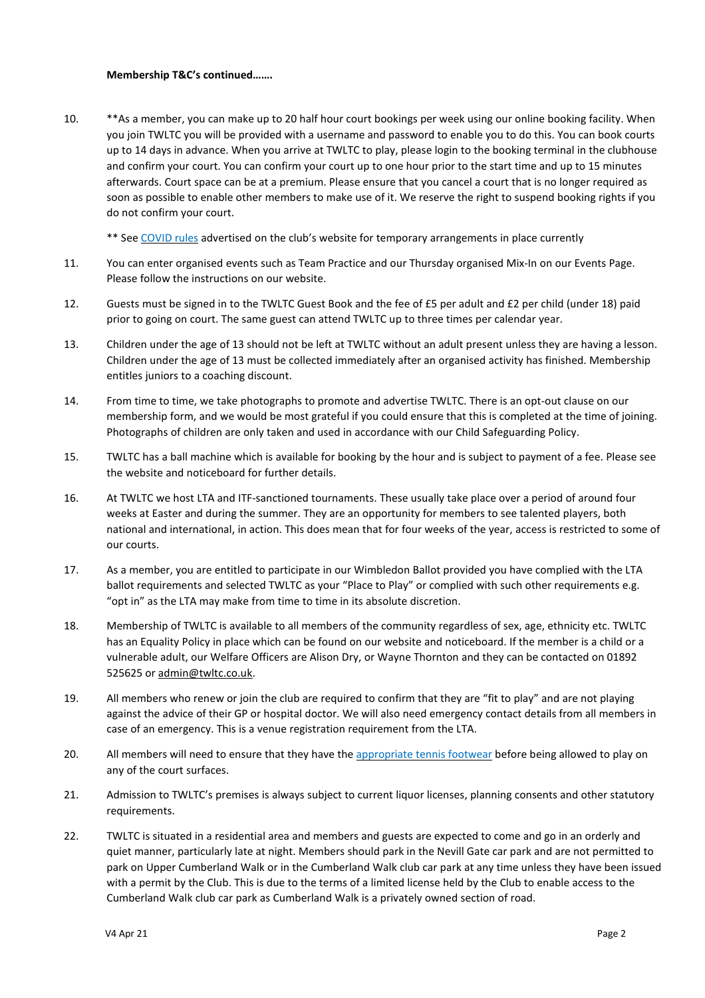## **Membership T&C's continued…….**

10. \*\*As a member, you can make up to 20 half hour court bookings per week using our online booking facility. When you join TWLTC you will be provided with a username and password to enable you to do this. You can book courts up to 14 days in advance. When you arrive at TWLTC to play, please login to the booking terminal in the clubhouse and confirm your court. You can confirm your court up to one hour prior to the start time and up to 15 minutes afterwards. Court space can be at a premium. Please ensure that you cancel a court that is no longer required as soon as possible to enable other members to make use of it. We reserve the right to suspend booking rights if you do not confirm your court.

\*\* See [COVID](https://www.twltc.org/news/club-covid-rules-11-3-21/) rules advertised on the club's website for temporary arrangements in place currently

- 11. You can enter organised events such as Team Practice and our Thursday organised Mix-In on our Events Page. Please follow the instructions on our website.
- 12. Guests must be signed in to the TWLTC Guest Book and the fee of £5 per adult and £2 per child (under 18) paid prior to going on court. The same guest can attend TWLTC up to three times per calendar year.
- 13. Children under the age of 13 should not be left at TWLTC without an adult present unless they are having a lesson. Children under the age of 13 must be collected immediately after an organised activity has finished. Membership entitles juniors to a coaching discount.
- 14. From time to time, we take photographs to promote and advertise TWLTC. There is an opt-out clause on our membership form, and we would be most grateful if you could ensure that this is completed at the time of joining. Photographs of children are only taken and used in accordance with our Child Safeguarding Policy.
- 15. TWLTC has a ball machine which is available for booking by the hour and is subject to payment of a fee. Please see the website and noticeboard for further details.
- 16. At TWLTC we host LTA and ITF-sanctioned tournaments. These usually take place over a period of around four weeks at Easter and during the summer. They are an opportunity for members to see talented players, both national and international, in action. This does mean that for four weeks of the year, access is restricted to some of our courts.
- 17. As a member, you are entitled to participate in our Wimbledon Ballot provided you have complied with the LTA ballot requirements and selected TWLTC as your "Place to Play" or complied with such other requirements e.g. "opt in" as the LTA may make from time to time in its absolute discretion.
- 18. Membership of TWLTC is available to all members of the community regardless of sex, age, ethnicity etc. TWLTC has an Equality Policy in place which can be found on our website and noticeboard. If the member is a child or a vulnerable adult, our Welfare Officers are Alison Dry, or Wayne Thornton and they can be contacted on 01892 525625 or [admin@twltc.co.uk.](mailto:admin@twltc.co.uk)
- 19. All members who renew or join the club are required to confirm that they are "fit to play" and are not playing against the advice of their GP or hospital doctor. We will also need emergency contact details from all members in case of an emergency. This is a venue registration requirement from the LTA.
- 20. All members will need to ensure that they have the [appropriate](https://www.lta.org.uk/play-compete/getting-started/tennis-kit-guide/the-shoes/) tennis footwear before being allowed to play on any of the court surfaces.
- 21. Admission to TWLTC's premises is always subject to current liquor licenses, planning consents and other statutory requirements.
- 22. TWLTC is situated in a residential area and members and guests are expected to come and go in an orderly and quiet manner, particularly late at night. Members should park in the Nevill Gate car park and are not permitted to park on Upper Cumberland Walk or in the Cumberland Walk club car park at any time unless they have been issued with a permit by the Club. This is due to the terms of a limited license held by the Club to enable access to the Cumberland Walk club car park as Cumberland Walk is a privately owned section of road.